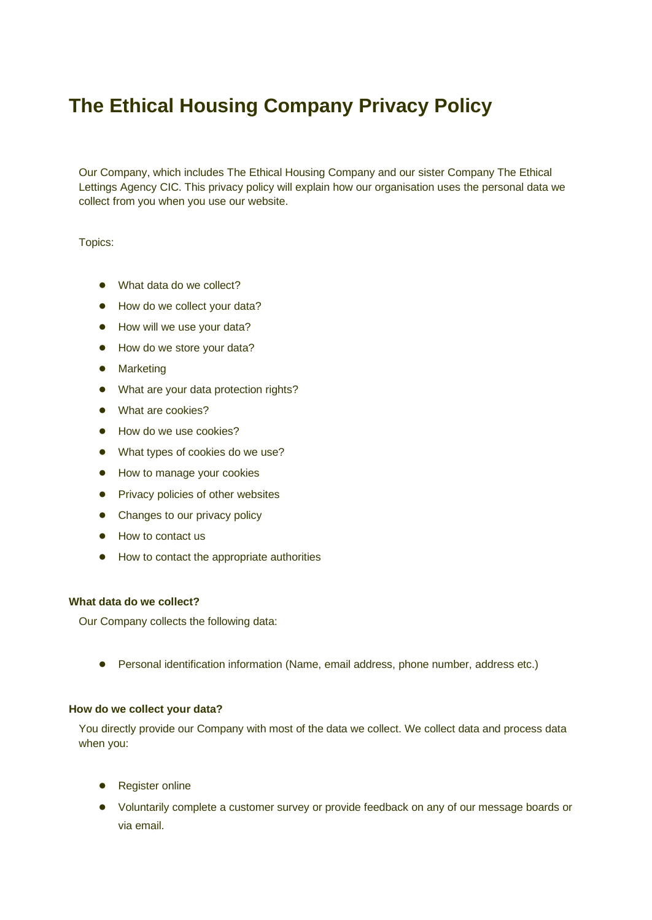# **The Ethical Housing Company Privacy Policy**

Our Company, which includes The Ethical Housing Company and our sister Company The Ethical Lettings Agency CIC. This privacy policy will explain how our organisation uses the personal data we collect from you when you use our website.

Topics:

- What data do we collect?
- How do we collect your data?
- How will we use your data?
- How do we store your data?
- Marketing
- What are your data protection rights?
- What are cookies?
- How do we use cookies?
- What types of cookies do we use?
- How to manage your cookies
- Privacy policies of other websites
- Changes to our privacy policy
- How to contact us
- How to contact the appropriate authorities

# **What data do we collect?**

Our Company collects the following data:

● Personal identification information (Name, email address, phone number, address etc.)

### **How do we collect your data?**

You directly provide our Company with most of the data we collect. We collect data and process data when you:

- Register online
- Voluntarily complete a customer survey or provide feedback on any of our message boards or via email.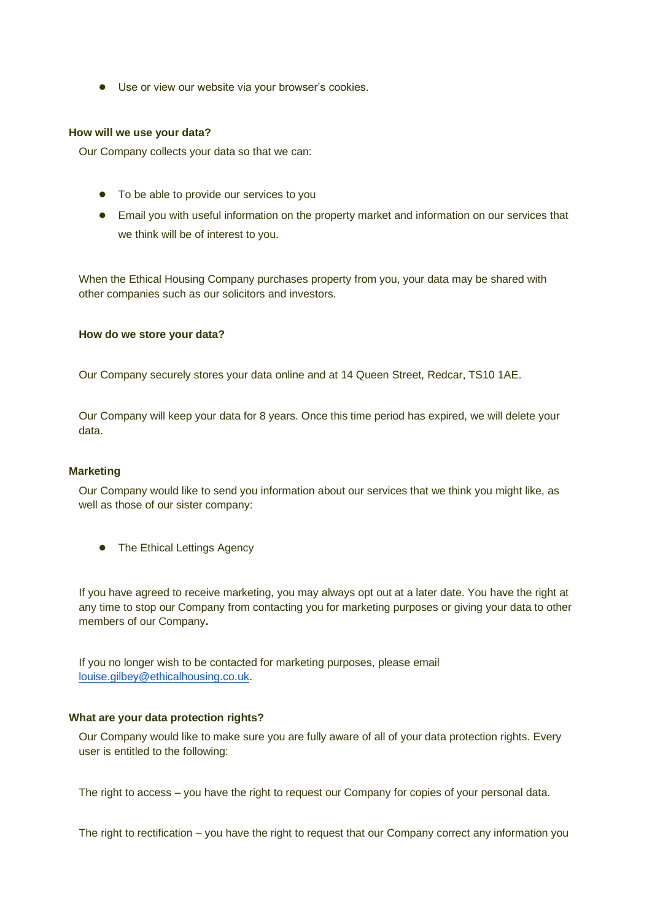● Use or view our website via your browser's cookies.

#### **How will we use your data?**

Our Company collects your data so that we can:

- To be able to provide our services to you
- Email you with useful information on the property market and information on our services that we think will be of interest to you.

When the Ethical Housing Company purchases property from you, your data may be shared with other companies such as our solicitors and investors.

#### **How do we store your data?**

Our Company securely stores your data online and at 14 Queen Street, Redcar, TS10 1AE.

Our Company will keep your data for 8 years. Once this time period has expired, we will delete your data.

# **Marketing**

Our Company would like to send you information about our services that we think you might like, as well as those of our sister company:

● The Ethical Lettings Agency

If you have agreed to receive marketing, you may always opt out at a later date. You have the right at any time to stop our Company from contacting you for marketing purposes or giving your data to other members of our Company**.**

If you no longer wish to be contacted for marketing purposes, please email [louise.gilbey@ethicalhousing.co.uk.](mailto:louise.gilbet@ethicalhousing.co.uk)

# **What are your data protection rights?**

Our Company would like to make sure you are fully aware of all of your data protection rights. Every user is entitled to the following:

The right to access – you have the right to request our Company for copies of your personal data.

The right to rectification – you have the right to request that our Company correct any information you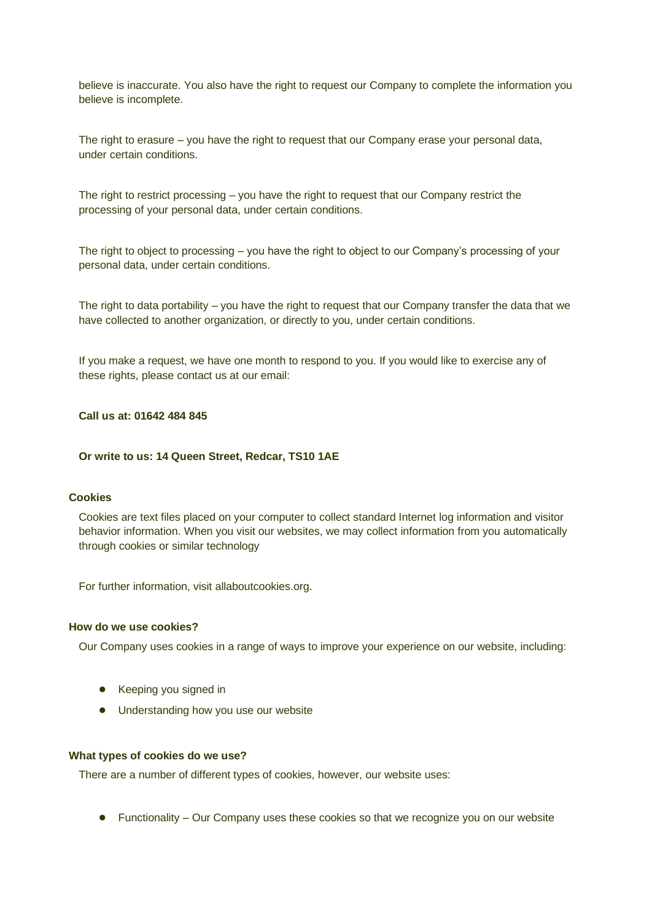believe is inaccurate. You also have the right to request our Company to complete the information you believe is incomplete.

The right to erasure – you have the right to request that our Company erase your personal data, under certain conditions.

The right to restrict processing – you have the right to request that our Company restrict the processing of your personal data, under certain conditions.

The right to object to processing – you have the right to object to our Company's processing of your personal data, under certain conditions.

The right to data portability – you have the right to request that our Company transfer the data that we have collected to another organization, or directly to you, under certain conditions.

If you make a request, we have one month to respond to you. If you would like to exercise any of these rights, please contact us at our email:

# **Call us at: 01642 484 845**

### **Or write to us: 14 Queen Street, Redcar, TS10 1AE**

## **Cookies**

Cookies are text files placed on your computer to collect standard Internet log information and visitor behavior information. When you visit our websites, we may collect information from you automatically through cookies or similar technology

For further information, visit allaboutcookies.org.

# **How do we use cookies?**

Our Company uses cookies in a range of ways to improve your experience on our website, including:

- Keeping you signed in
- Understanding how you use our website

#### **What types of cookies do we use?**

There are a number of different types of cookies, however, our website uses:

● Functionality – Our Company uses these cookies so that we recognize you on our website